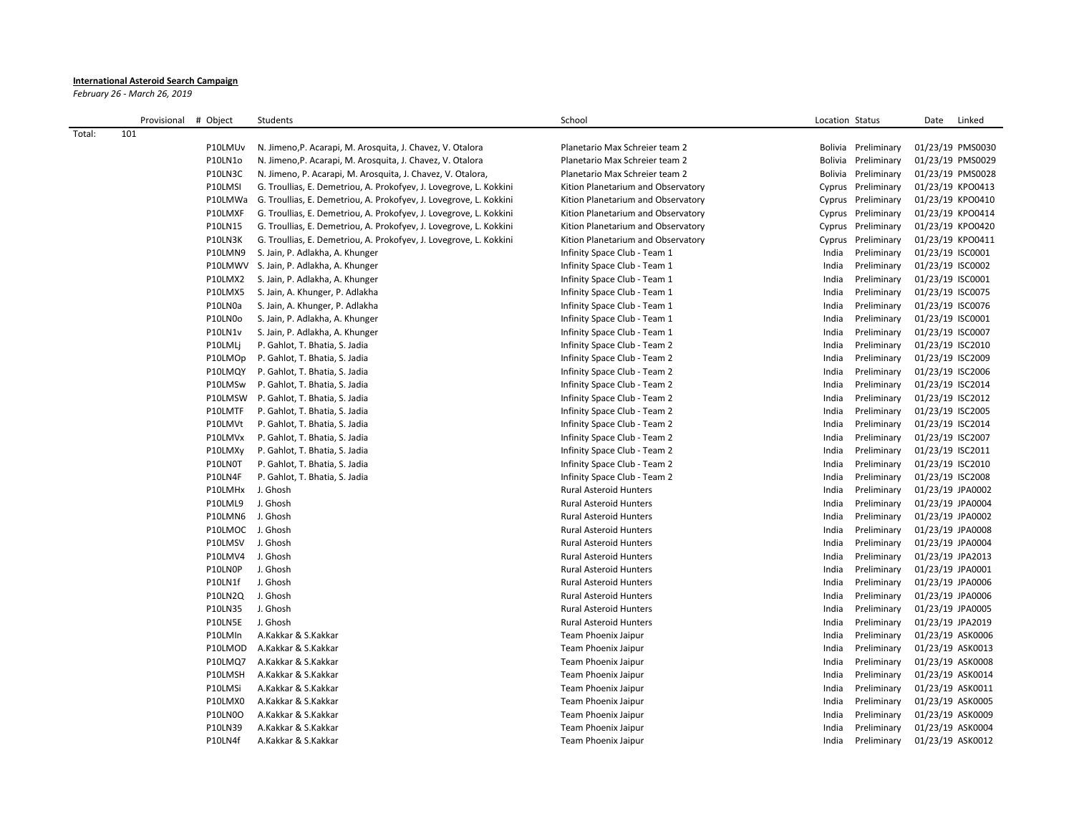## **International Asteroid Search Campaign**

*February 26 - March 26, 2019*

|        | Provisional | # Object         | Students                                                           | School                             | Location Status       |             | Date | Linked           |
|--------|-------------|------------------|--------------------------------------------------------------------|------------------------------------|-----------------------|-------------|------|------------------|
| Total: | 101         |                  |                                                                    |                                    |                       |             |      |                  |
|        |             | P10LMUv          | N. Jimeno, P. Acarapi, M. Arosquita, J. Chavez, V. Otalora         | Planetario Max Schreier team 2     | Bolivia Preliminary   |             |      | 01/23/19 PMS0030 |
|        |             | P10LN1o          | N. Jimeno, P. Acarapi, M. Arosquita, J. Chavez, V. Otalora         | Planetario Max Schreier team 2     | Bolivia Preliminary   |             |      | 01/23/19 PMS0029 |
|        |             | P10LN3C          | N. Jimeno, P. Acarapi, M. Arosquita, J. Chavez, V. Otalora,        | Planetario Max Schreier team 2     | Bolivia Preliminary   |             |      | 01/23/19 PMS0028 |
|        |             | P10LMSI          | G. Troullias, E. Demetriou, A. Prokofyev, J. Lovegrove, L. Kokkini | Kition Planetarium and Observatory | Cyprus Preliminary    |             |      | 01/23/19 KPO0413 |
|        |             | P10LMWa          | G. Troullias, E. Demetriou, A. Prokofyev, J. Lovegrove, L. Kokkini | Kition Planetarium and Observatory | Cyprus Preliminary    |             |      | 01/23/19 KPO0410 |
|        |             | P10LMXF          | G. Troullias, E. Demetriou, A. Prokofyev, J. Lovegrove, L. Kokkini | Kition Planetarium and Observatory | Cyprus Preliminary    |             |      | 01/23/19 KPO0414 |
|        |             | P10LN15          | G. Troullias, E. Demetriou, A. Prokofyev, J. Lovegrove, L. Kokkini | Kition Planetarium and Observatory | Cyprus Preliminary    |             |      | 01/23/19 KPO0420 |
|        |             | P10LN3K          | G. Troullias, E. Demetriou, A. Prokofyev, J. Lovegrove, L. Kokkini | Kition Planetarium and Observatory | Preliminary<br>Cyprus |             |      | 01/23/19 KPO0411 |
|        |             | P10LMN9          | S. Jain, P. Adlakha, A. Khunger                                    | Infinity Space Club - Team 1       | India<br>Preliminary  |             |      | 01/23/19 ISC0001 |
|        |             | P10LMWV          | S. Jain, P. Adlakha, A. Khunger                                    | Infinity Space Club - Team 1       | India<br>Preliminary  |             |      | 01/23/19 ISC0002 |
|        |             | P10LMX2          | S. Jain, P. Adlakha, A. Khunger                                    | Infinity Space Club - Team 1       | India<br>Preliminary  |             |      | 01/23/19 ISC0001 |
|        |             | P10LMX5          | S. Jain, A. Khunger, P. Adlakha                                    | Infinity Space Club - Team 1       | India<br>Preliminary  |             |      | 01/23/19 ISC0075 |
|        |             | P10LN0a          | S. Jain, A. Khunger, P. Adlakha                                    | Infinity Space Club - Team 1       | India<br>Preliminary  |             |      | 01/23/19 ISC0076 |
|        |             | P10LN0o          | S. Jain, P. Adlakha, A. Khunger                                    | Infinity Space Club - Team 1       | India                 | Preliminary |      | 01/23/19 ISC0001 |
|        |             | P10LN1v          | S. Jain, P. Adlakha, A. Khunger                                    | Infinity Space Club - Team 1       | India                 | Preliminary |      | 01/23/19 ISC0007 |
|        |             | P10LMLj          | P. Gahlot, T. Bhatia, S. Jadia                                     | Infinity Space Club - Team 2       | India                 | Preliminary |      | 01/23/19 ISC2010 |
|        |             | P10LMOp          | P. Gahlot, T. Bhatia, S. Jadia                                     | Infinity Space Club - Team 2       | India<br>Preliminary  |             |      | 01/23/19 ISC2009 |
|        |             | P10LMQY          | P. Gahlot, T. Bhatia, S. Jadia                                     | Infinity Space Club - Team 2       | India                 | Preliminary |      | 01/23/19 ISC2006 |
|        |             | P10LMSw          | P. Gahlot, T. Bhatia, S. Jadia                                     | Infinity Space Club - Team 2       | India<br>Preliminary  |             |      | 01/23/19 ISC2014 |
|        |             | P10LMSW          | P. Gahlot, T. Bhatia, S. Jadia                                     | Infinity Space Club - Team 2       | India<br>Preliminary  |             |      | 01/23/19 ISC2012 |
|        |             | P10LMTF          | P. Gahlot, T. Bhatia, S. Jadia                                     | Infinity Space Club - Team 2       | Preliminary<br>India  |             |      | 01/23/19 ISC2005 |
|        |             | P10LMVt          | P. Gahlot, T. Bhatia, S. Jadia                                     | Infinity Space Club - Team 2       | India<br>Preliminary  |             |      | 01/23/19 ISC2014 |
|        |             | P10LMVx          | P. Gahlot, T. Bhatia, S. Jadia                                     | Infinity Space Club - Team 2       | Preliminary<br>India  |             |      | 01/23/19 ISC2007 |
|        |             | P10LMXy          | P. Gahlot, T. Bhatia, S. Jadia                                     | Infinity Space Club - Team 2       | India<br>Preliminary  |             |      | 01/23/19 ISC2011 |
|        |             | P10LN0T          | P. Gahlot, T. Bhatia, S. Jadia                                     | Infinity Space Club - Team 2       | India                 | Preliminary |      | 01/23/19 ISC2010 |
|        |             | P10LN4F          | P. Gahlot, T. Bhatia, S. Jadia                                     | Infinity Space Club - Team 2       | India                 | Preliminary |      | 01/23/19 ISC2008 |
|        |             | P10LMHx          | J. Ghosh                                                           | <b>Rural Asteroid Hunters</b>      | India                 | Preliminary |      | 01/23/19 JPA0002 |
|        |             | P10LML9          | J. Ghosh                                                           | <b>Rural Asteroid Hunters</b>      | India<br>Preliminary  |             |      | 01/23/19 JPA0004 |
|        |             | P10LMN6          | J. Ghosh                                                           | <b>Rural Asteroid Hunters</b>      | India<br>Preliminary  |             |      | 01/23/19 JPA0002 |
|        |             | P10LMOC J. Ghosh |                                                                    | <b>Rural Asteroid Hunters</b>      | India                 | Preliminary |      | 01/23/19 JPA0008 |
|        |             | P10LMSV          | J. Ghosh                                                           | <b>Rural Asteroid Hunters</b>      | Preliminary<br>India  |             |      | 01/23/19 JPA0004 |
|        |             | P10LMV4          | J. Ghosh                                                           | <b>Rural Asteroid Hunters</b>      | India<br>Preliminary  |             |      | 01/23/19 JPA2013 |
|        |             | P10LN0P          | J. Ghosh                                                           | <b>Rural Asteroid Hunters</b>      | India<br>Preliminary  |             |      | 01/23/19 JPA0001 |
|        |             | P10LN1f          | J. Ghosh                                                           | <b>Rural Asteroid Hunters</b>      | India                 | Preliminary |      | 01/23/19 JPA0006 |
|        |             | <b>P10LN2Q</b>   | J. Ghosh                                                           | <b>Rural Asteroid Hunters</b>      | India                 | Preliminary |      | 01/23/19 JPA0006 |
|        |             | P10LN35          | J. Ghosh                                                           | <b>Rural Asteroid Hunters</b>      | India                 | Preliminary |      | 01/23/19 JPA0005 |
|        |             | P10LN5E          | J. Ghosh                                                           | <b>Rural Asteroid Hunters</b>      | India                 | Preliminary |      | 01/23/19 JPA2019 |
|        |             | P10LMIn          | A.Kakkar & S.Kakkar                                                | Team Phoenix Jaipur                | Preliminary<br>India  |             |      | 01/23/19 ASK0006 |
|        |             | P10LMOD          | A.Kakkar & S.Kakkar                                                | Team Phoenix Jaipur                | India<br>Preliminary  |             |      | 01/23/19 ASK0013 |
|        |             | P10LMQ7          | A.Kakkar & S.Kakkar                                                | Team Phoenix Jaipur                | India                 | Preliminary |      | 01/23/19 ASK0008 |
|        |             | P10LMSH          | A.Kakkar & S.Kakkar                                                | Team Phoenix Jaipur                | India                 | Preliminary |      | 01/23/19 ASK0014 |
|        |             | P10LMSi          | A.Kakkar & S.Kakkar                                                | Team Phoenix Jaipur                | India<br>Preliminary  |             |      | 01/23/19 ASK0011 |
|        |             | P10LMX0          | A.Kakkar & S.Kakkar                                                | Team Phoenix Jaipur                | India<br>Preliminary  |             |      | 01/23/19 ASK0005 |
|        |             | <b>P10LN0O</b>   | A.Kakkar & S.Kakkar                                                | Team Phoenix Jaipur                | India<br>Preliminary  |             |      | 01/23/19 ASK0009 |
|        |             | P10LN39          | A.Kakkar & S.Kakkar                                                | Team Phoenix Jaipur                | India                 | Preliminary |      | 01/23/19 ASK0004 |
|        |             | P10LN4f          | A.Kakkar & S.Kakkar                                                | <b>Team Phoenix Jaipur</b>         | India                 | Preliminary |      | 01/23/19 ASK0012 |
|        |             |                  |                                                                    |                                    |                       |             |      |                  |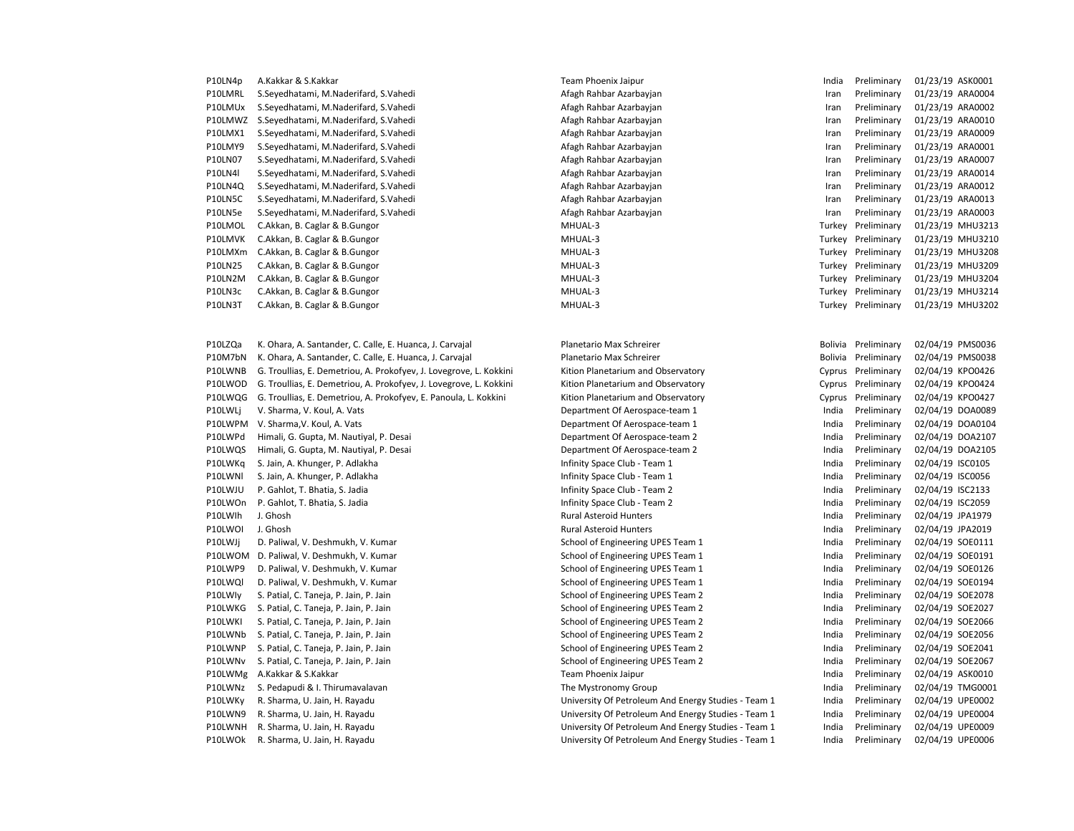| P10LN4p        | A.Kakkar & S.Kakkar                   | Team Phoenix Jaipur     | India | Preliminary        | 01/23/19 ASK0001 |
|----------------|---------------------------------------|-------------------------|-------|--------------------|------------------|
| P10LMRL        | S.Seyedhatami, M.Naderifard, S.Vahedi | Afagh Rahbar Azarbayjan | Iran  | Preliminary        | 01/23/19 ARA0004 |
| P10LMUx        | S.Seyedhatami, M.Naderifard, S.Vahedi | Afagh Rahbar Azarbayjan | Iran  | Preliminary        | 01/23/19 ARA0002 |
| P10LMWZ        | S.Seyedhatami, M.Naderifard, S.Vahedi | Afagh Rahbar Azarbayjan | Iran  | Preliminary        | 01/23/19 ARA0010 |
| P10LMX1        | S.Seyedhatami, M.Naderifard, S.Vahedi | Afagh Rahbar Azarbayjan | Iran  | Preliminary        | 01/23/19 ARA0009 |
| P10LMY9        | S.Seyedhatami, M.Naderifard, S.Vahedi | Afagh Rahbar Azarbayjan | Iran  | Preliminary        | 01/23/19 ARA0001 |
| P10LN07        | S.Seyedhatami, M.Naderifard, S.Vahedi | Afagh Rahbar Azarbayjan | Iran  | Preliminary        | 01/23/19 ARA0007 |
| <b>P10LN4I</b> | S.Seyedhatami, M.Naderifard, S.Vahedi | Afagh Rahbar Azarbayjan | Iran  | Preliminary        | 01/23/19 ARA0014 |
| P10LN4Q        | S.Seyedhatami, M.Naderifard, S.Vahedi | Afagh Rahbar Azarbayjan | Iran  | Preliminary        | 01/23/19 ARA0012 |
| P10LN5C        | S.Seyedhatami, M.Naderifard, S.Vahedi | Afagh Rahbar Azarbayjan | Iran  | Preliminary        | 01/23/19 ARA0013 |
| P10LN5e        | S.Seyedhatami, M.Naderifard, S.Vahedi | Afagh Rahbar Azarbayjan | Iran  | Preliminary        | 01/23/19 ARA0003 |
| P10LMOL        | C.Akkan, B. Caglar & B.Gungor         | MHUAL-3                 |       | Turkey Preliminary | 01/23/19 MHU3213 |
| P10LMVK        | C.Akkan, B. Caglar & B.Gungor         | MHUAL-3                 |       | Turkey Preliminary | 01/23/19 MHU3210 |
| P10LMXm        | C.Akkan, B. Caglar & B.Gungor         | MHUAL-3                 |       | Turkey Preliminary | 01/23/19 MHU3208 |
| P10LN25        | C.Akkan, B. Caglar & B.Gungor         | MHUAL-3                 |       | Turkey Preliminary | 01/23/19 MHU3209 |
| P10LN2M        | C.Akkan, B. Caglar & B.Gungor         | MHUAL-3                 |       | Turkey Preliminary | 01/23/19 MHU3204 |
| P10LN3c        | C.Akkan, B. Caglar & B.Gungor         | MHUAL-3                 |       | Turkey Preliminary | 01/23/19 MHU3214 |
| P10LN3T        | C.Akkan, B. Caglar & B.Gungor         | MHUAL-3                 |       | Turkey Preliminary | 01/23/19 MHU3202 |
|                |                                       |                         |       |                    |                  |

| P10LZQa | K. Ohara, A. Santander, C. Calle, E. Huanca, J. Carvajal           | Planetario Max Schreirer                            |       | Bolivia Preliminary | 02/04/19 PMS0036 |
|---------|--------------------------------------------------------------------|-----------------------------------------------------|-------|---------------------|------------------|
| P10M7bN | K. Ohara, A. Santander, C. Calle, E. Huanca, J. Carvajal           | Planetario Max Schreirer                            |       | Bolivia Preliminary | 02/04/19 PMS0038 |
| P10LWNB | G. Troullias, E. Demetriou, A. Prokofyev, J. Lovegrove, L. Kokkini | Kition Planetarium and Observatory                  |       | Cyprus Preliminary  | 02/04/19 KPO0426 |
| P10LWOD | G. Troullias, E. Demetriou, A. Prokofyev, J. Lovegrove, L. Kokkini | Kition Planetarium and Observatory                  |       | Cyprus Preliminary  | 02/04/19 KPO0424 |
| P10LWQG | G. Troullias, E. Demetriou, A. Prokofyev, E. Panoula, L. Kokkini   | Kition Planetarium and Observatory                  |       | Cyprus Preliminary  | 02/04/19 KPO0427 |
| P10LWLj | V. Sharma, V. Koul, A. Vats                                        | Department Of Aerospace-team 1                      | India | Preliminary         | 02/04/19 DOA0089 |
| P10LWPM | V. Sharma, V. Koul, A. Vats                                        | Department Of Aerospace-team 1                      | India | Preliminary         | 02/04/19 DOA0104 |
| P10LWPd | Himali, G. Gupta, M. Nautiyal, P. Desai                            | Department Of Aerospace-team 2                      | India | Preliminary         | 02/04/19 DOA2107 |
| P10LWQS | Himali, G. Gupta, M. Nautiyal, P. Desai                            | Department Of Aerospace-team 2                      | India | Preliminary         | 02/04/19 DOA2105 |
| P10LWKq | S. Jain, A. Khunger, P. Adlakha                                    | Infinity Space Club - Team 1                        | India | Preliminary         | 02/04/19 ISC0105 |
| P10LWNI | S. Jain, A. Khunger, P. Adlakha                                    | Infinity Space Club - Team 1                        | India | Preliminary         | 02/04/19 ISC0056 |
| P10LWJU | P. Gahlot, T. Bhatia, S. Jadia                                     | Infinity Space Club - Team 2                        | India | Preliminary         | 02/04/19 ISC2133 |
| P10LWOn | P. Gahlot, T. Bhatia, S. Jadia                                     | Infinity Space Club - Team 2                        | India | Preliminary         | 02/04/19 ISC2059 |
| P10LWlh | J. Ghosh                                                           | <b>Rural Asteroid Hunters</b>                       | India | Preliminary         | 02/04/19 JPA1979 |
| P10LWOI | J. Ghosh                                                           | <b>Rural Asteroid Hunters</b>                       | India | Preliminary         | 02/04/19 JPA2019 |
| P10LWJi | D. Paliwal, V. Deshmukh, V. Kumar                                  | School of Engineering UPES Team 1                   | India | Preliminary         | 02/04/19 SOE0111 |
| P10LWOM | D. Paliwal, V. Deshmukh, V. Kumar                                  | School of Engineering UPES Team 1                   | India | Preliminary         | 02/04/19 SOE0191 |
| P10LWP9 | D. Paliwal, V. Deshmukh, V. Kumar                                  | School of Engineering UPES Team 1                   | India | Preliminary         | 02/04/19 SOE0126 |
| P10LWQI | D. Paliwal, V. Deshmukh, V. Kumar                                  | School of Engineering UPES Team 1                   | India | Preliminary         | 02/04/19 SOE0194 |
| P10LWly | S. Patial, C. Taneja, P. Jain, P. Jain                             | School of Engineering UPES Team 2                   | India | Preliminary         | 02/04/19 SOE2078 |
| P10LWKG | S. Patial, C. Taneja, P. Jain, P. Jain                             | School of Engineering UPES Team 2                   | India | Preliminary         | 02/04/19 SOE2027 |
| P10LWKI | S. Patial, C. Taneja, P. Jain, P. Jain                             | School of Engineering UPES Team 2                   | India | Preliminary         | 02/04/19 SOE2066 |
| P10LWNb | S. Patial, C. Taneja, P. Jain, P. Jain                             | School of Engineering UPES Team 2                   | India | Preliminary         | 02/04/19 SOE2056 |
| P10LWNP | S. Patial, C. Taneja, P. Jain, P. Jain                             | School of Engineering UPES Team 2                   | India | Preliminary         | 02/04/19 SOE2041 |
| P10LWNv | S. Patial, C. Taneja, P. Jain, P. Jain                             | School of Engineering UPES Team 2                   | India | Preliminary         | 02/04/19 SOE2067 |
| P10LWMg | A.Kakkar & S.Kakkar                                                | Team Phoenix Jaipur                                 | India | Preliminary         | 02/04/19 ASK0010 |
| P10LWNz | S. Pedapudi & I. Thirumavalavan                                    | The Mystronomy Group                                | India | Preliminary         | 02/04/19 TMG0001 |
| P10LWKy | R. Sharma, U. Jain, H. Rayadu                                      | University Of Petroleum And Energy Studies - Team 1 | India | Preliminary         | 02/04/19 UPE0002 |
| P10LWN9 | R. Sharma, U. Jain, H. Rayadu                                      | University Of Petroleum And Energy Studies - Team 1 | India | Preliminary         | 02/04/19 UPE0004 |
| P10LWNH | R. Sharma, U. Jain, H. Rayadu                                      | University Of Petroleum And Energy Studies - Team 1 | India | Preliminary         | 02/04/19 UPE0009 |
| P10LWOk | R. Sharma, U. Jain, H. Rayadu                                      | University Of Petroleum And Energy Studies - Team 1 | India | Preliminary         | 02/04/19 UPE0006 |

Afagh Rahbar Azarbayjan **M.N.Naderifard, S.Naderifard, S.Vahedi Afagh Preliminary 101/23/19 ARA0004** P10LMUx S.Seyedhatami, M.Naderifard, S.Vahedi Afagh Rahbar Azarbayjan Iran Preliminary 01/23/19 ARA0002 P10LMWZ S.Seyedhatami, M.Naderifard, S.Vahedi Afagh Rahbar Azarbayjan Iran Preliminary 01/23/19 ARA0010 P10LMX1 S.Seyedhatami, M.Naderifard, S.Vahedi Afagh Rahbar Azarbayjan Iran Preliminary 01/23/19 ARA0009 P10LMY9 S.Seyedhatami, M.Naderifard, S.Vahedi Afagh Rahbar Azarbayjan Iran Preliminary 01/23/19 ARA0001 P10LN07 S.Seyedhatami, M.Naderifard, S.Vahedi Afagh Rahbar Azarbayjan Iran Preliminary 01/23/19 ARA0007 P10LN4l S.Seyedhatami, M.Naderifard, S.Vahedi Afagh Rahbar Azarbayjan Iran Preliminary 01/23/19 ARA0014 P10LN4Q S.Seyedhatami, M.Naderifard, S.Vahedi Afagh Rahbar Azarbayjan Iran Preliminary 01/23/19 ARA0012 P10LN5C S.Seyedhatami, M.Naderifard, S.Vahedi Afagh Rahbar Azarbayjan Iran Preliminary 01/23/19 ARA0013 P10LN5e S.Seyedhatami, M.Naderifard, S.Vahedi Afagh Rahbar Azarbayjan Iran Preliminary 01/23/19 ARA0003